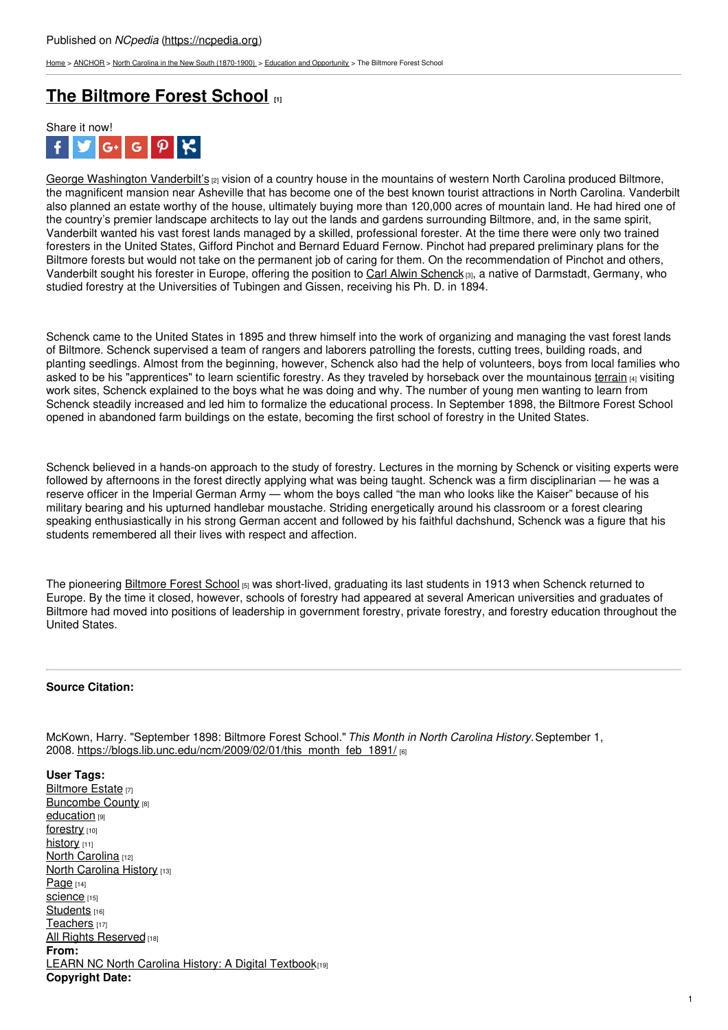[Home](https://ncpedia.org/) > [ANCHOR](https://ncpedia.org/anchor/anchor) > North Carolina in the New South [\(1870-1900\)](https://ncpedia.org/anchor/north-carolina-new-south) > Education and [Opportunity](https://ncpedia.org/anchor/education-and-opportunity) > The Biltmore Forest School

## **The [Biltmore](https://ncpedia.org/anchor/biltmore-forest-school) Forest School [1]**



George [Washington](https://www.ncpedia.org/biography/vanderbilt-george) Vanderbilt's <sub>[2]</sub> vision of a country house in the mountains of western North Carolina produced Biltmore, the magnificent mansion near Asheville that has become one of the best known tourist attractions in North Carolina. Vanderbilt also planned an estate worthy of the house, ultimately buying more than 120,000 acres of mountain land. He had hired one of the country's premier landscape architects to lay out the lands and gardens surrounding Biltmore, and, in the same spirit, Vanderbilt wanted his vast forest lands managed by a skilled, professional forester. At the time there were only two trained foresters in the United States, Gifford Pinchot and Bernard Eduard Fernow. Pinchot had prepared preliminary plans for the Biltmore forests but would not take on the permanent job of caring for them. On the recommendation of Pinchot and others, Vanderbilt sought his forester in Europe, offering the position to Carl Alwin [Schenck](https://www.ncpedia.org/biography/schenck-carl-alwin) [3], a native of Darmstadt, Germany, who studied forestry at the Universities of Tubingen and Gissen, receiving his Ph. D. in 1894.

Schenck came to the United States in 1895 and threw himself into the work of organizing and managing the vast forest lands of Biltmore. Schenck supervised a team of rangers and laborers patrolling the forests, cutting trees, building roads, and planting seedlings. Almost from the beginning, however, Schenck also had the help of volunteers, boys from local families who asked to be his "apprentices" to learn scientific forestry. As they traveled by horseback over the mountainous [terrain](https://ncpedia.org/glossary/terrain) [4] visiting work sites, Schenck explained to the boys what he was doing and why. The number of young men wanting to learn from Schenck steadily increased and led him to formalize the educational process. In September 1898, the Biltmore Forest School opened in abandoned farm buildings on the estate, becoming the first school of forestry in the United States.

Schenck believed in a hands-on approach to the study of forestry. Lectures in the morning by Schenck or visiting experts were followed by afternoons in the forest directly applying what was being taught. Schenck was a firm disciplinarian — he was a reserve officer in the Imperial German Army — whom the boys called "the man who looks like the Kaiser" because of his military bearing and his upturned handlebar moustache. Striding energetically around his classroom or a forest clearing speaking enthusiastically in his strong German accent and followed by his faithful dachshund, Schenck was a figure that his students remembered all their lives with respect and affection.

The pioneering **[Biltmore](https://www.ncpedia.org/biltmore-forest-school) Forest School** [5] was short-lived, graduating its last students in 1913 when Schenck returned to Europe. By the time it closed, however, schools of forestry had appeared at several American universities and graduates of Biltmore had moved into positions of leadership in government forestry, private forestry, and forestry education throughout the United States.

## **Source Citation:**

McKown, Harry. "September 1898: Biltmore Forest School."*This Month in North Carolina History.*September 1, 2008. [https://blogs.lib.unc.edu/ncm/2009/02/01/this\\_month\\_feb\\_1891/](https://blogs.lib.unc.edu/ncm/2009/02/01/this_month_feb_1891/) [6]

**User Tags:** [Biltmore](https://ncpedia.org/category/user-tags/biltmore-estate) Estate [7] **[Buncombe](https://ncpedia.org/category/user-tags/buncombe-county) County [8]** [education](https://ncpedia.org/category/user-tags/education) [9] [forestry](https://ncpedia.org/category/user-tags/forestry) [10] [history](https://ncpedia.org/category/user-tags/history) [11] North [Carolina](https://ncpedia.org/category/user-tags/north-carolina-5) [12] North [Carolina](https://ncpedia.org/category/user-tags/north-carolina-6) History [13] [Page](https://ncpedia.org/category/user-tags/page) [14] Science [15] [Students](https://ncpedia.org/category/user-tags/students) [16] [Teachers](https://ncpedia.org/category/user-tags/teachers) [17] All Rights [Reserved](https://ncpedia.org/category/user-tags/all-rights) [18] **From:** LEARN NC North Carolina History: A Digital [Textbook](https://ncpedia.org/category/entry-source/learn-nc)[19] **Copyright Date:**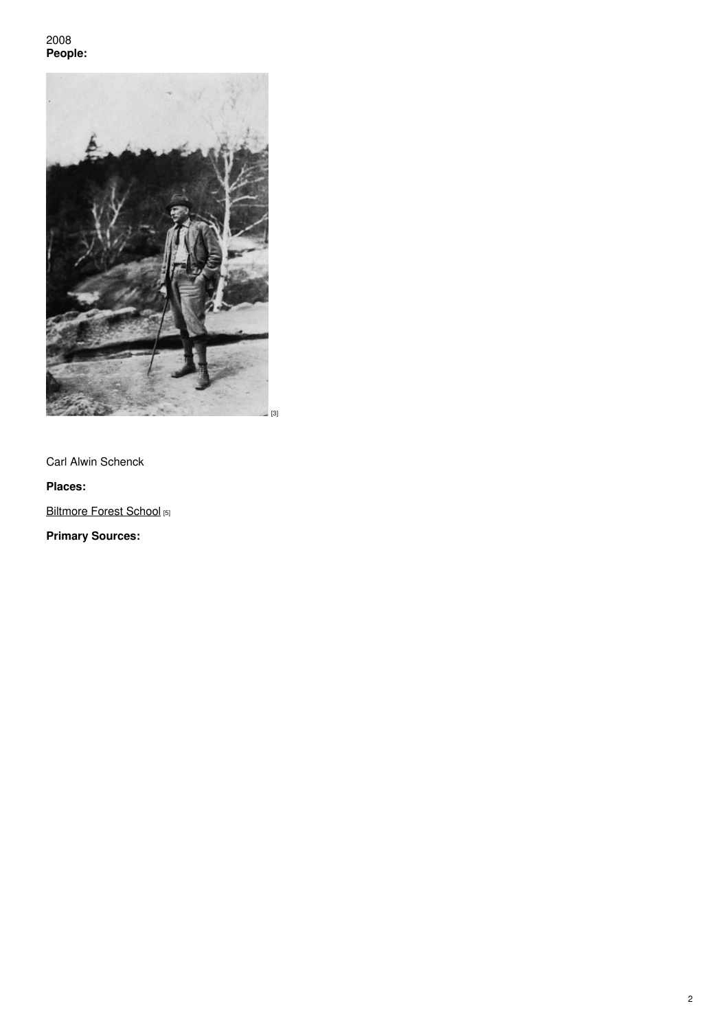2008 **People:**



Carl Alwin Schenck

## **Places:**

[Biltmore](https://www.ncpedia.org/biltmore-forest-school) Forest School [5]

**Primary Sources:**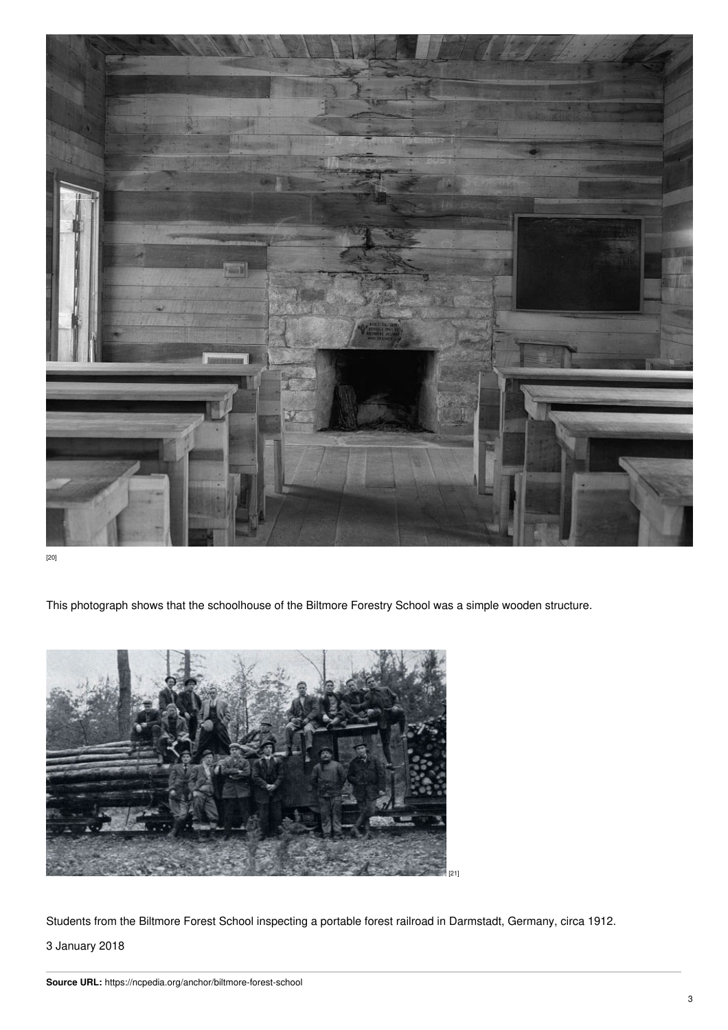

[20]

This photograph shows that the schoolhouse of the Biltmore Forestry School was a simple wooden structure.



Students from the Biltmore Forest School inspecting a portable forest railroad in Darmstadt, Germany, circa 1912.

3 January 2018